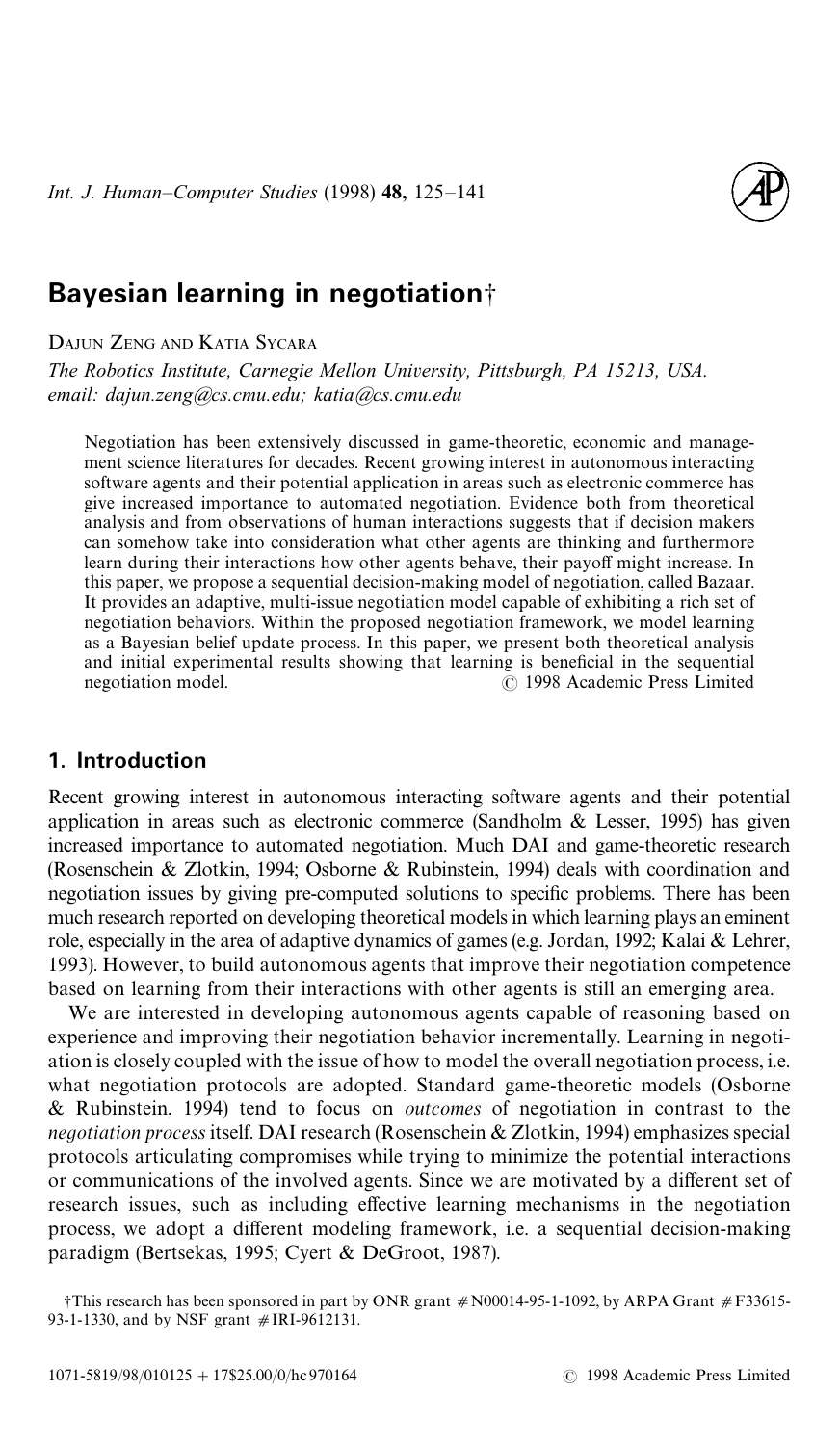*Int. J. Human–Computer Studies* (1998) 48, 125*—*141

# **Bayesian learning in negotiation**†

DAJUN ZENG AND KATIA SYCARA

*The Robotics Institute, Carnegie Mellon University, Pittsburgh, PA 15213, USA. email: dajun.zeng*@*cs.cmu.edu; katia*@*cs.cmu.edu*

Negotiation has been extensively discussed in game-theoretic, economic and management science literatures for decades. Recent growing interest in autonomous interacting software agents and their potential application in areas such as electronic commerce has give increased importance to automated negotiation. Evidence both from theoretical analysis and from observations of human interactions suggests that if decision makers can somehow take into consideration what other agents are thinking and furthermore learn during their interactions how other agents behave, their payoff might increase. In this paper, we propose a sequential decision-making model of negotiation, called Bazaar. It provides an adaptive, multi-issue negotiation model capable of exhibiting a rich set of negotiation behaviors. Within the proposed negotiation framework, we model learning as a Bayesian belief update process. In this paper, we present both theoretical analysis and initial experimental results showing that learning is beneficial in the sequential negotiation model.  $\qquad \qquad \odot$  [1998 Academic Press L](#page-16-0)imited

# **1. Introduction**

Recent growing interest in autonomous interacting softw[are agents and their potential](#page-16-0) [applic](#page-16-0)ation in areas such as electronic commerce (Sandholm  $\&$  Lesser, 1995) has given increased importance to automated negotiation. Much DAI and game-theoretic research (Rosenschein & Zlotkin, 1994; Osborne & Rubinstein, 1994) deals with coordination and negotiation issues by giving pre-computed solutions to specific problems. There has been much research reported on developing theoretical models in which learning plays an eminent role, especially in the area of adaptive dynamics of games (e.g. Jordan, 1992; Kalai [& Lehrer,](#page-16-0) [1993\). However, to bu](#page-16-0)ild autonomous agents that improve their negotiation competence based on learning from their interact[ions with other agents is still a](#page-16-0)n emerging area.

We are interested in developing autonomous agents capable of reasoning based on experience and improving their negotiation behavior incrementally. Learning in negotiation is closely coupled with the issue of how to model the overall negotiation process, i.e. what negotiation protocols are adopted. Standard game-theoretic models (Osborne & Rubin[stein, 1994\) tend to focus on](#page-16-0) *outcomes* of negotiation in contrast to the *negotiation process* itself. DAI research (Rosenschein & Zlotkin, 1994) emphasizes special protocols articulating compromises while trying to minimize the potential interactions or communications of the involved agents. Since we are motivated by a different set of research issues, such as including effective learning mechanisms in the negotiation process, we adopt a different modeling framework, i.e. a sequential decision-making paradigm (Bertsekas, 1995; Cyert & DeGroot, 1987).

 $\dagger$ This research has been sponsored in part by ONR grant  $\#N00014-95-1-1092$ , by ARPA Grant  $\#F33615-$ 93-1-1330, and by NSF grant  $#IRI-9612131$ .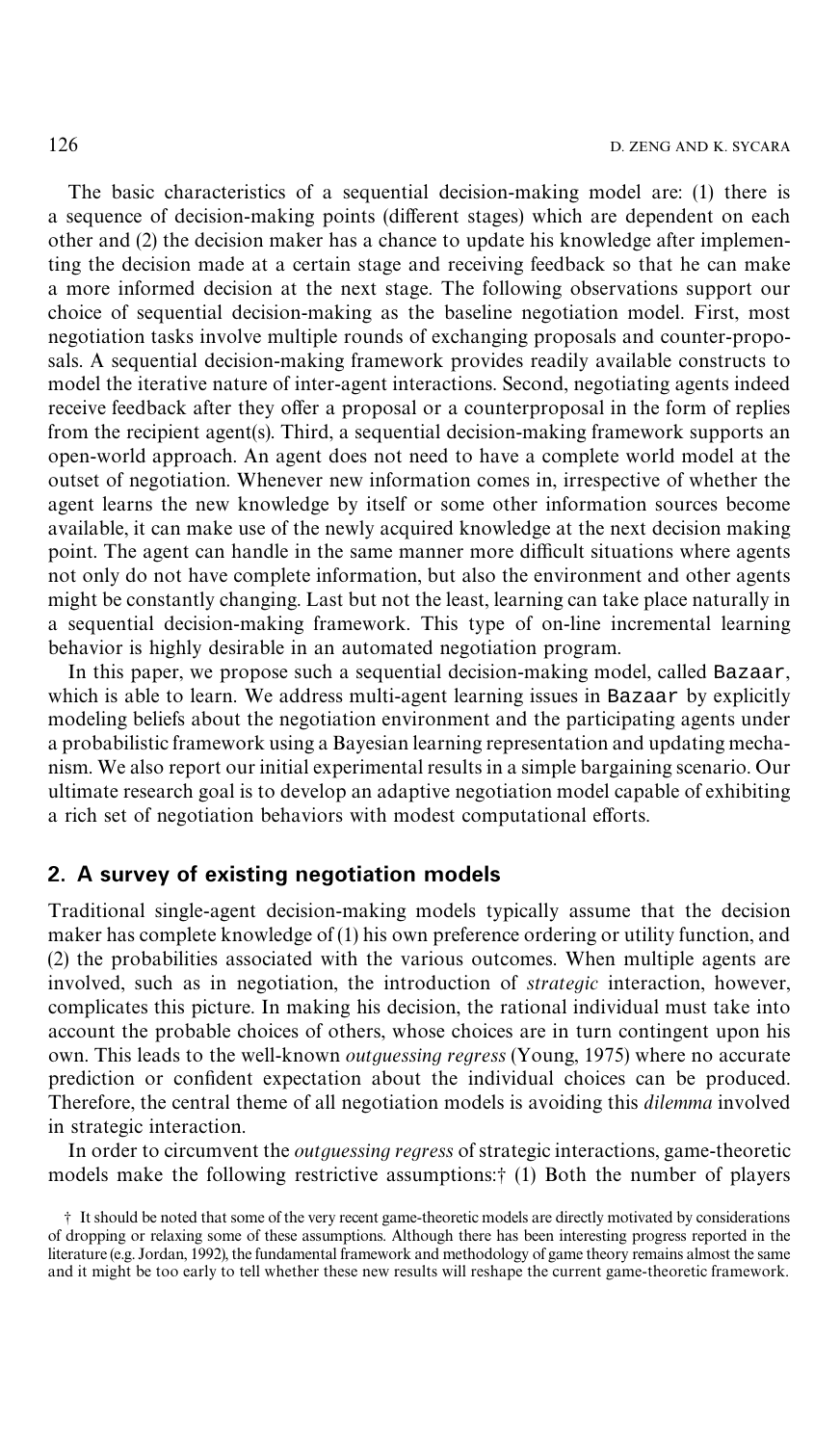The basic characteristics of a sequential decision-making model are: (1) there is a sequence of decision-making points (different stages) which are dependent on each other and (2) the decision maker has a chance to update his knowledge after implementing the decision made at a certain stage and receiving feedback so that he can make a more informed decision at the next stage. The following observations support our choice of sequential decision-making as the baseline negotiation model. First, most negotiation tasks involve multiple rounds of exchanging proposals and counter-proposals. A sequential decision-making framework provides readily available constructs to model the iterative nature of inter-agent interactions. Second, negotiating agents indeed receive feedback after they offer a proposal or a counterproposal in the form of replies from the recipient agent(s). Third, a sequential decision-making framework supports an open-world approach. An agent does not need to have a complete world model at the outset of negotiation. Whenever new information comes in, irrespective of whether the agent learns the new knowledge by itself or some other information sources become available, it can make use of the newly acquired knowledge at the next decision making point. The agent can handle in the same manner more difficult situations where agents not only do not have complete information, but also the environment and other agents might be constantly changing. Last but not the least, learning can take place naturally in a sequential decision-making framework. This type of on-line incremental learning behavior is highly desirable in an automated negotiation program.

In this paper, we propose such a sequential decision-making model, called Bazaar, which is able to learn. We address multi-agent learning issues in Bazaar by explicitly modeling beliefs about the negotiation environment and the participating agents under a probabilistic framework using a Bayesian learning representation and updating mechanism. We also report our initial experimental results in a simple bargaining scenario. Our ultimate research goal is to develop an adaptive negotiation model capable of exhibiting a rich set of negotiation behaviors with modest computational efforts.

## **2. A survey of existing negotiation models**

Traditional single-agent decision-making models ty[pically assume](#page-16-0) that the decision maker has complete knowledge of (1) his own preference ordering or utility function, and (2) the probabilities associated with the various outcomes. When multiple agents are involved, such as in negotiation, the introduction of *strategic* interaction, however, complicates this picture. In making his decision, the rational individual must take into account the probable choices of others, whose choices are in turn contingent upon his own. This leads to the well-known *outguessing regress* (Young, 1975) where no accurate prediction or confident expectation about the individual choices can be produced. Therefore, the central theme of all negotiation models is avoiding this *dilemma* involved in strategic interaction.

In order to circumvent the *outguessing regress* of strategic interactions, game-theoretic models make the following restrictive assumptions: $\dagger$  (1) Both the number of players

<sup>-</sup> It should be noted that some of the very recent game-theoretic models are directly motivated by considerations of dropping or relaxing some of these assumptions. Although there has been interesting progress reported in the literature (e.g. Jordan, 1992), the fundamental framework and methodology of game theory remains almost the same and it might be too early to tell whether these new results will reshape the current game-theoretic framework.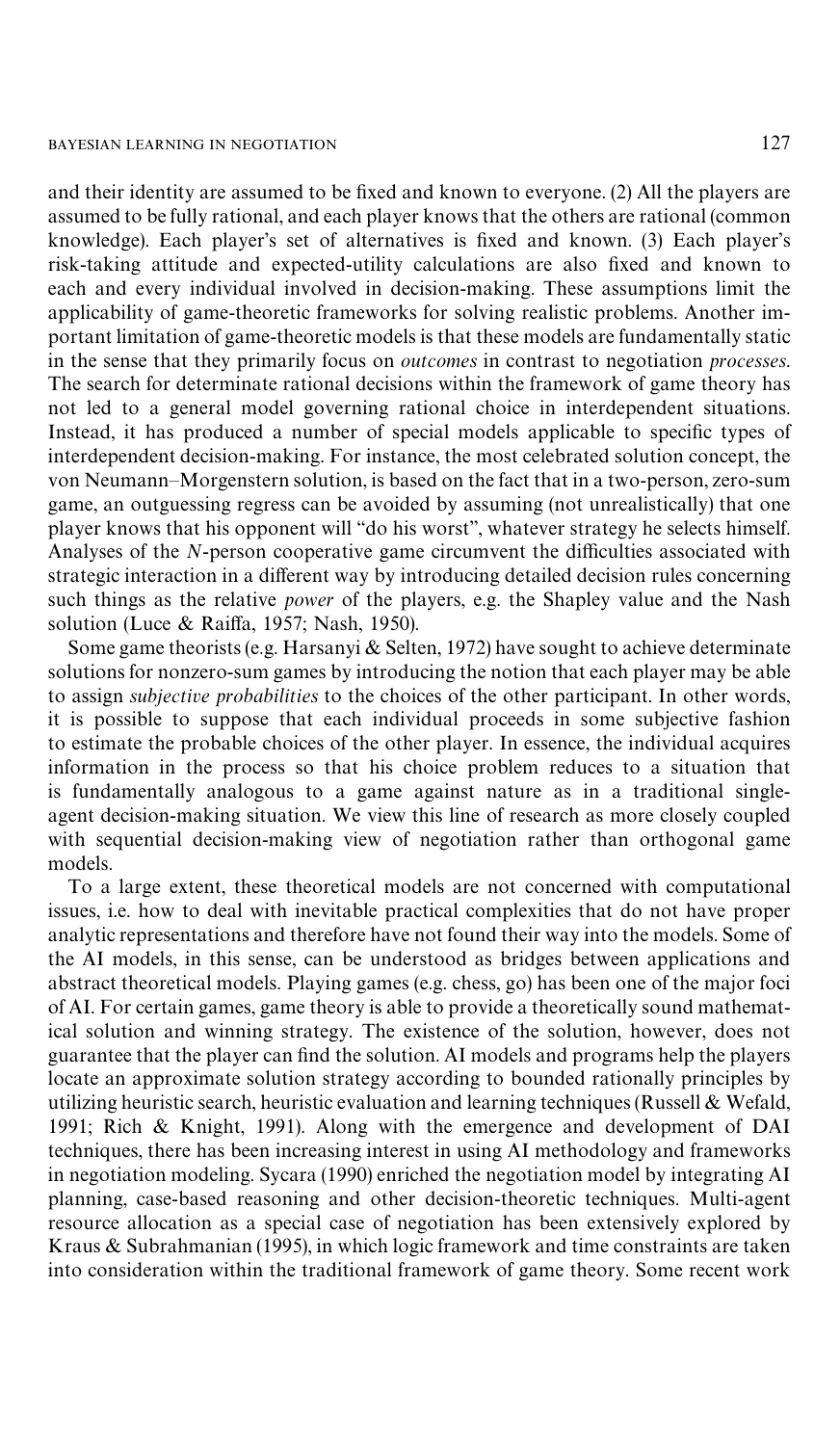and their identity are assumed to be fixed and known to everyone. (2) All the players are assumed to be fully rational, and each player knows that the others are rational (common knowledge). Each player's set of alternatives is fixed and known. (3) Each player's risk-taking attitude and expected-utility calculations are also fixed and known to each and every individual involved in decision-making. These assumptions limit the applicability of game-theoretic frameworks for solving realistic problems. Another important limitation of game-theoretic models is that these models are fundamentally static in the sense that they primarily focus on *outcomes* in contrast to negotiation *processes*. The search for determinate rational decisions within the framework of game theory has not led to a general model governing rational choice in interdependent situations. Instead, it has produced a number of special models applicable to specific types of interdependent decision-making. For instance, the most celebrated solution concept, the von Neumann*—*[Morgenstern solution, is base](#page-16-0)d on the fact that in a two-person, zero-sum game, an outguessing [regress can be avoided by assu](#page-16-0)ming (not unrealistically) that one player knows that his opponent will ''do his worst'', whatever strategy he selects himself. Analyses of the *N*-person cooperative game circumvent the difficulties associated with strategic interaction in a different way by introducing detailed decision rules concerning such things as the relative *power* of the players, e.g. the Shapley value and the Nash solution (Luce & Raiffa, 1957; Nash, 1950).

Some game theorists (e.g. Harsanyi & Selten, 1972) have sought to achieve determinate solutions for nonzero-sum games by introducing the notion that each player may be able to assign *subjective probabilities* to the choices of the other participant. In other words, it is possible to suppose that each individual proceeds in some subjective fashion to estimate the probable choices of the other player. In essence, the individual acquires information in the process so that his choice problem reduces to a situation that is fundamentally analogous to a game against nature as in a traditional singleagent decision-making situation. We view this line of research as more closely coupled with sequential decision-making view of negotiation rather than orthogonal game models.

To a large extent, these theoretical models are not concerned with computational issues, i.e. how to deal with inevitable practical complexities that do not have proper analytic representations and therefore have not found their way into the models. Some of the AI models, in this sense, can be understood as bridges betwee[n applications and](#page-16-0) [abstract theoretical models. Pl](#page-16-0)aying games (e.g. chess, go) has been one of the major foci of AI. For certain games, game theory is able to provide a theoretically sound mathematical solution and winni[ng strategy. Th](#page-16-0)e existence of the solution, however, does not guarantee that the player can find the solution. AI models and programs help the players locate an approximate solution strategy according to bounded rationally principles by [utilizing heuristic search, heuris](#page-16-0)tic evaluation and learning techniques (Russell & Wefald, 1991; Rich & Knight, 1991). Along with the emergence and development of DAI techniques, there has been increasing interest in using AI methodology and frameworks in negotiation modeling. Sycara (1990) enriched the negotiation model by integrating AI planning, case-based reasoning and other decision-theoretic techniques. Multi-agent resource allocation as a special case of negotiation has been extensively explored by Kraus & Subrahmanian (1995), in which logic framework and time constraints are taken into consideration within the traditional framework of game theory. Some recent work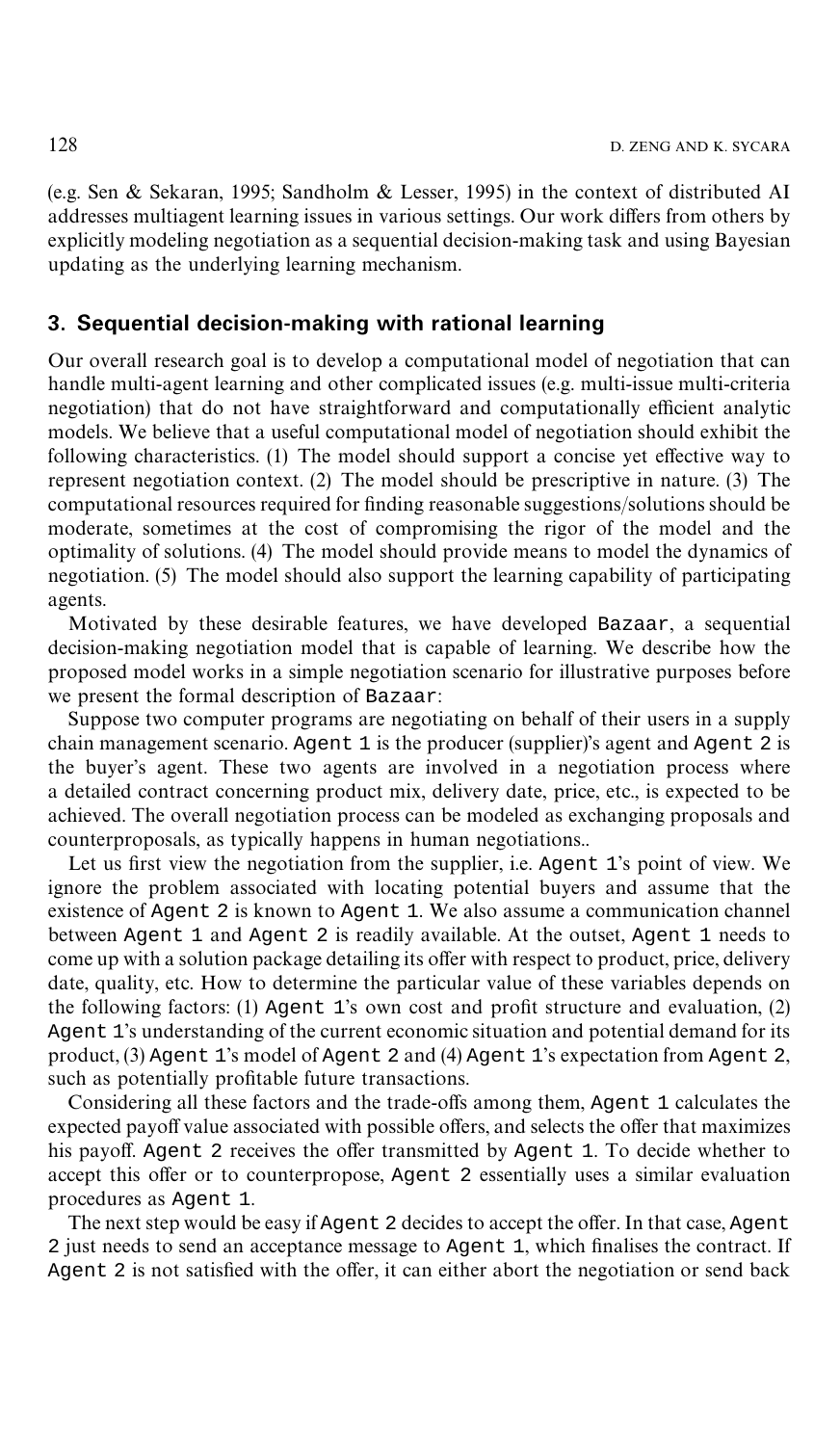(e.g. Sen & Sekaran, 1995; Sandholm & Lesser, 1995) in the context of distributed AI addresses multiagent learning issues in various settings. Our work differs from others by explicitly modeling negotiation as a sequential decision-making task and using Bayesian updating as the underlying learning mechanism.

#### **3. Sequential decision-making with rational learning**

Our overall research goal is to develop a computational model of negotiation that can handle multi-agent learning and other complicated issues (e.g. multi-issue multi-criteria negotiation) that do not have straightforward and computationally efficient analytic models. We believe that a useful computational model of negotiation should exhibit the following characteristics. (1) The model should support a concise yet effective way to represent negotiation context. (2) The model should be prescriptive in nature. (3) The computational resources required for finding reasonable suggestions/solutions should be moderate, sometimes at the cost of compromising the rigor of the model and the optimality of solutions. (4) The model should provide means to model the dynamics of negotiation. (5) The model should also support the learning capability of participating agents.

Motivated by these desirable features, we have developed Bazaar, a sequential decision-making negotiation model that is capable of learning. We describe how the proposed model works in a simple negotiation scenario for illustrative purposes before we present the formal description of Bazaar:

Suppose two computer programs are negotiating on behalf of their users in a supply chain management scenario. Agent 1 is the producer (supplier)'s agent and Agent 2 is the buyer's agent. These two agents are involved in a negotiation process where a detailed contract concerning product mix, delivery date, price, etc., is expected to be achieved. The overall negotiation process can be modeled as exchanging proposals and counterproposals, as typically happens in human negotiations..

Let us first view the negotiation from the supplier, i.e. Agent 1's point of view. We ignore the problem associated with locating potential buyers and assume that the existence of Agent 2 is known to Agent 1. We also assume a communication channel between Agent 1 and Agent 2 is readily available. At the outset, Agent 1 needs to come up with a solution package detailing its offer with respect to product, price, delivery date, quality, etc. How to determine the particular value of these variables depends on the following factors: (1) Agent 1's own cost and profit structure and evaluation, (2) Agent 1's understanding of the current economic situation and potential demand for its product, (3) Agent 1's model of Agent 2 and (4) Agent 1's expectation from Agent 2, such as potentially profitable future transactions.

Considering all these factors and the trade-offs among them, Agent 1 calculates the expected payoff value associated with possible offers, and selects the offer that maximizes his payoff. Agent 2 receives the offer transmitted by Agent 1. To decide whether to accept this offer or to counterpropose, Agent 2 essentially uses a similar evaluation procedures as Agent 1.

The next step would be easy if Agent 2 decides to accept the offer. In that case, Agent 2 just needs to send an acceptance message to Agent 1, which finalises the contract. If Agent 2 is not satisfied with the offer, it can either abort the negotiation or send back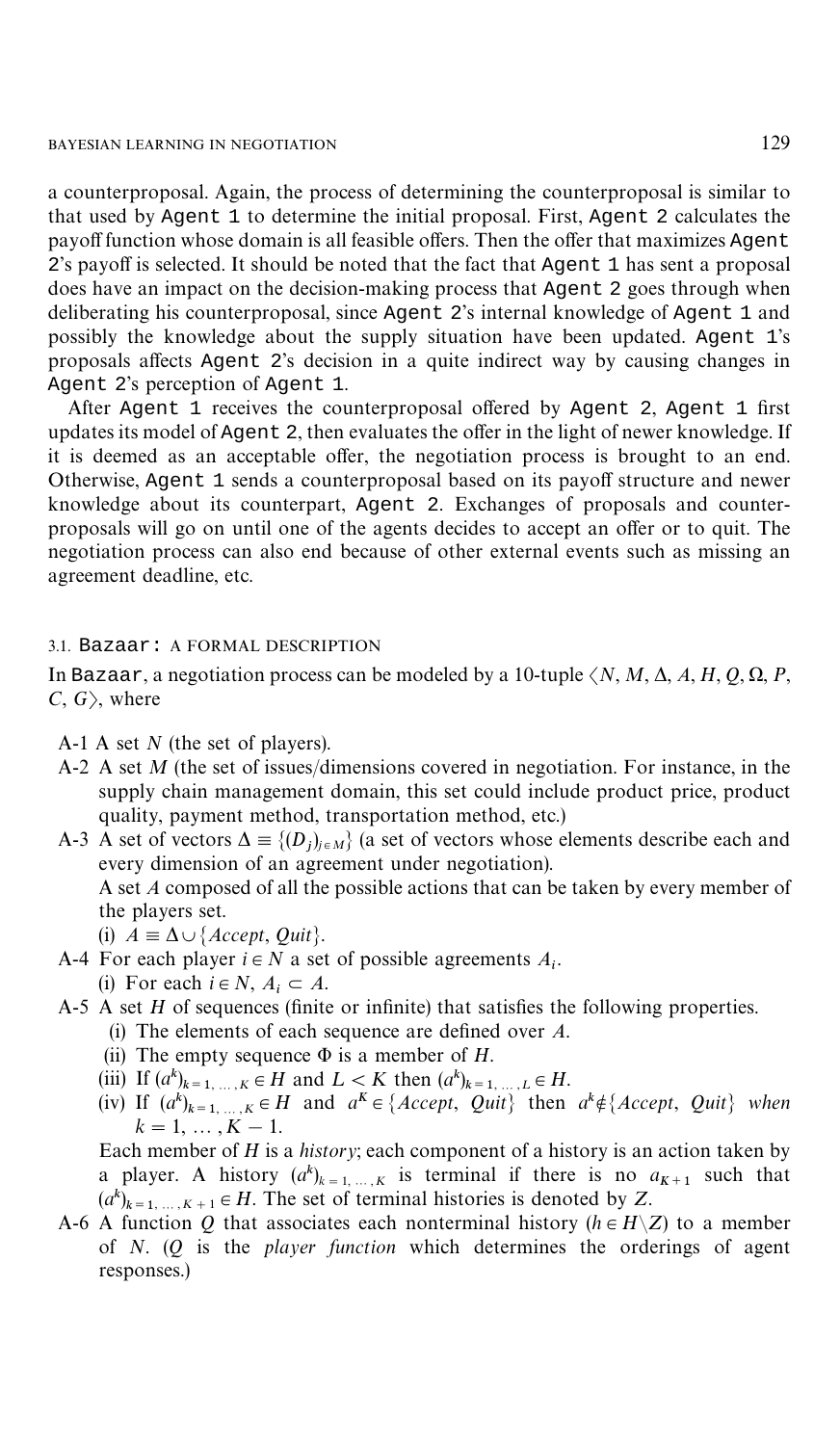a counterproposal. Again, the process of determining the counterproposal is similar to that used by Agent 1 to determine the initial proposal. First, Agent 2 calculates the payoff function whose domain is all feasible offers. Then the offer that maximizes Agent 2's payoff is selected. It should be noted that the fact that Agent 1 has sent a proposal does have an impact on the decision-making process that Agent 2 goes through when deliberating his counterproposal, since Agent 2's internal knowledge of Agent 1 and possibly the knowledge about the supply situation have been updated. Agent 1's proposals affects Agent 2's decision in a quite indirect way by causing changes in Agent 2's perception of Agent 1.

After Agent 1 receives the counterproposal offered by Agent 2, Agent 1 first updates its model of Agent 2, then evaluates the offer in the light of newer knowledge. If it is deemed as an acceptable offer, the negotiation process is brought to an end. Otherwise, Agent 1 sends a counterproposal based on its payoff structure and newer knowledge about its counterpart, Agent 2. Exchanges of proposals and counterproposals will go on until one of the agents decides to accept an offer or to quit. The negotiation process can also end because of other external events such as missing an agreement deadline, etc.

#### 3.1. Bazaar: A FORMAL DESCRIPTION

In Bazaar, a negotiation process can be modeled by a 10-tuple  $\langle N, M, \Delta, A, H, Q, \Omega, P$ ,  $C, G$ , where

A-1 A set *N* (the set of players).

- A-2 A set *M* (the set of issues/dimensions covered in negotiation. For instance, in the supply chain management domain, this set could include product price, product quality, payment method, transportation method, etc.)
- A-3 A set of vectors  $\Delta = \{(D_j)_{j \in M}\}\$  (a set of vectors whose elements describe each and every dimension of an agreement under negotiation).

A set *A* composed of all the possible actions that can be taken by every member of the players set.

(i)  $A \equiv \Delta \cup \{Accept, Quit\}.$ 

- A-4 For each player  $i \in N$  a set of possible agreements  $A_i$ .
	- (i) For each  $i \in N$ ,  $A_i \subset A$ .
- A-5 A set *H* of sequences (finite or infinite) that satisfies the following properties.
	- (i) The elements of each sequence are defined over *A*.
	- (ii) The empty sequence  $\Phi$  is a member of *H*.
	- (iii) If  $(a^k)_{k=1,\dots,K} \in H$  and  $L < K$  then  $(a^k)_{k=1,\dots,L} \in H$ .<br>  $(K, K)$
	- (iv) If  $(a^k)_{k=1,\dots,K} \in H$  and  $a^k \in \{Accept, Quit\}$  then  $a^k \notin \{Accept, Quit\}$  when  $k = 1, \ldots, K - 1.$

Each member of *H* is a *history*; each component of a history is an action taken by Each member of H is a *history*, each component of a mistory is an action taken by<br>a player. A history  $(a^k)_{k=1,\dots,K}$  is terminal if there is no  $a_{K+1}$  such that  $(a^k)_{k=1,\dots,K+1} \in H$ . The set of terminal histories is denoted by *Z*.

A-6 A function *Q* that associates each nonterminal history ( $h \in H \setminus Z$ ) to a member of *N*. (*Q* is the *player function* which determines the orderings of agent responses.)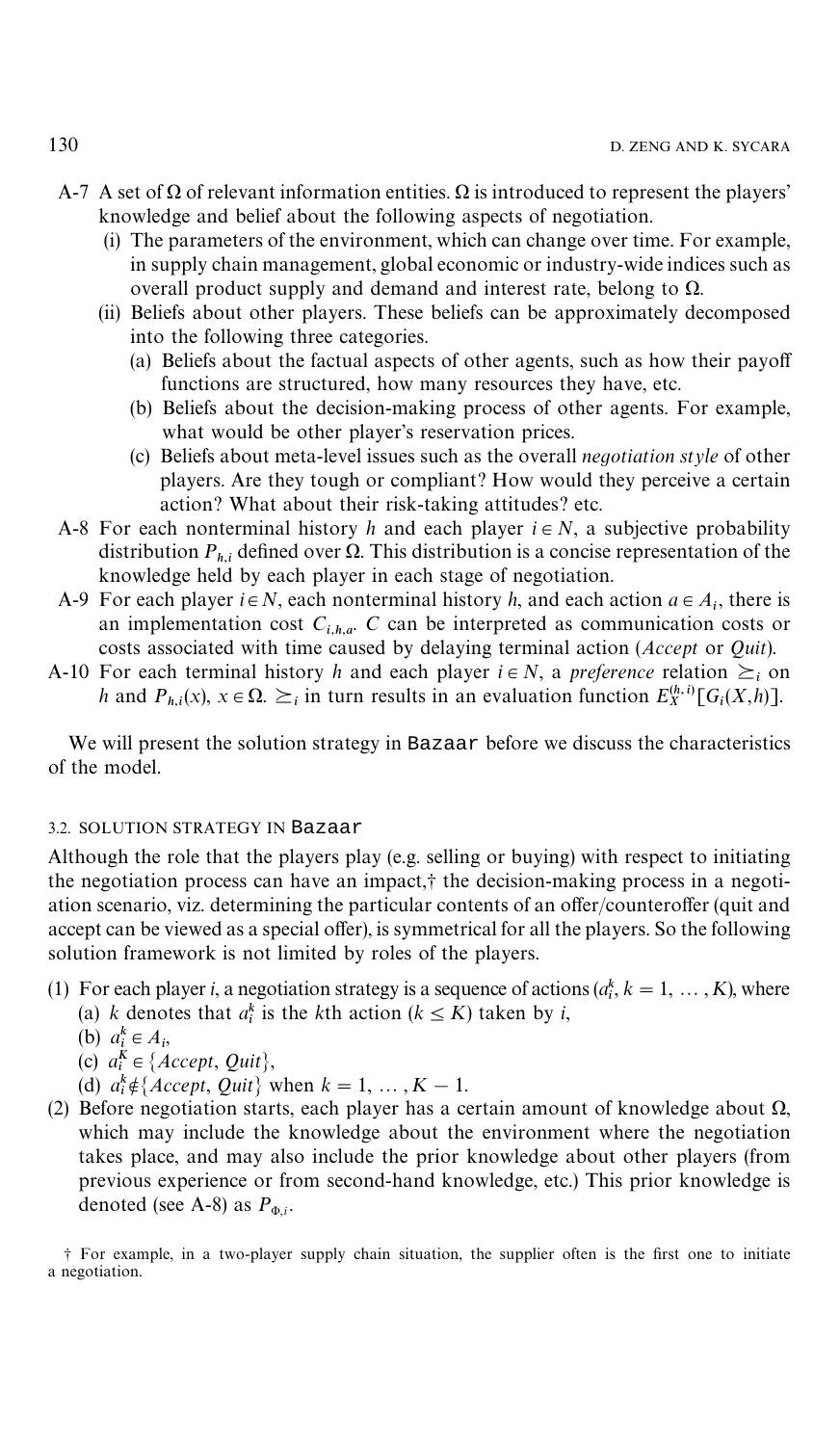- A-7 A set of  $\Omega$  of relevant information entities.  $\Omega$  is introduced to represent the players' knowledge and belief about the following aspects of negotiation.
	- (i) The parameters of the environment, which can change over time. For example, in supply chain management, global economic or industry-wide indices such as overall product supply and demand and interest rate, belong to  $\Omega$ .
	- (ii) Beliefs about other players. These beliefs can be approximately decomposed into the following three categories.
		- (a) Beliefs about the factual aspects of other agents, such as how their payoff functions are structured, how many resources they have, etc.
		- (b) Beliefs about the decision-making process of other agents. For example, what would be other player's reservation prices.
		- (c) Beliefs about meta-level issues such as the overall *negotiation style* of other players. Are they tough or compliant? How would they perceive a certain action? What about their risk-taking attitudes? etc.
- A-8 For each nonterminal history *h* and each player  $i \in N$ , a subjective probability distribution  $P_{h,i}$  defined over  $\Omega$ . This distribution is a concise representation of the knowledge held by each player in each stage of negotiation.
- A-9 For each player  $i \in N$ , each nonterminal history *h*, and each action  $a \in A_i$ , there is an implementation cost  $C_{i,h,a}$ .  $C$  can be interpreted as communication costs or costs associated with time caused by delaying terminal action (*Accept* or *Quit*).
- A-10 For each terminal history *h* and each player  $i \in N$ , a preference relation  $\geq_i$  on *h* and  $P_{h,i}(x)$ ,  $x \in \Omega$ .  $\geq_i$  in turn results in an evaluation function  $E_X^{(h,i)}[G_i(X,h)]$ .

We will present the solution strategy in Bazaar before we discuss the characteristics of the model.

#### 3.2. SOLUTION STRATEGY IN Bazaar

Although the role that the players play (e.g. selling or buying) with respect to initiating the negotiation process can have an impact, $\dagger$  the decision-making process in a negotiation scenario, viz. determining the particular contents of an offer/counteroffer (quit and accept can be viewed as a special offer), is symmetrical for all the players. So the following solution framework is not limited by roles of the players.

- (1) For each player *i*, a negotiation strategy is a sequence of actions  $(a_i^k, k = 1, ..., K)$ , where For each player *l*, a hegonation strategy is a sequence of action (*k*)  $\leq$  *k*) taken by *i*,
	- (a)  $k$  denot<br>
	(b)  $a_i^k \in A_i$
	- (c)  $a_i \in A_i$ ,<br>
	(c)  $a_i^K \in \{Accept, Quit\},\$
	- (c)  $a_i \in \{Accept, Quit\}$ ,<br>
	(d)  $a_i^k \notin \{Accept, Quit\}$  when  $k = 1, ..., K 1$ .
- (2) Before negotiation starts, each player has a certain amount of knowledge about  $\Omega$ , which may include the knowledge about the environment where the negotiation takes place, and may also include the prior knowledge about other players (from previous experience or from second-hand knowledge, etc.) This prior knowledge is denoted (see A-8) as  $P_{\phi}$ .

- For example, in a two-player supply chain situation, the supplier often is the first one to initiate a negotiation.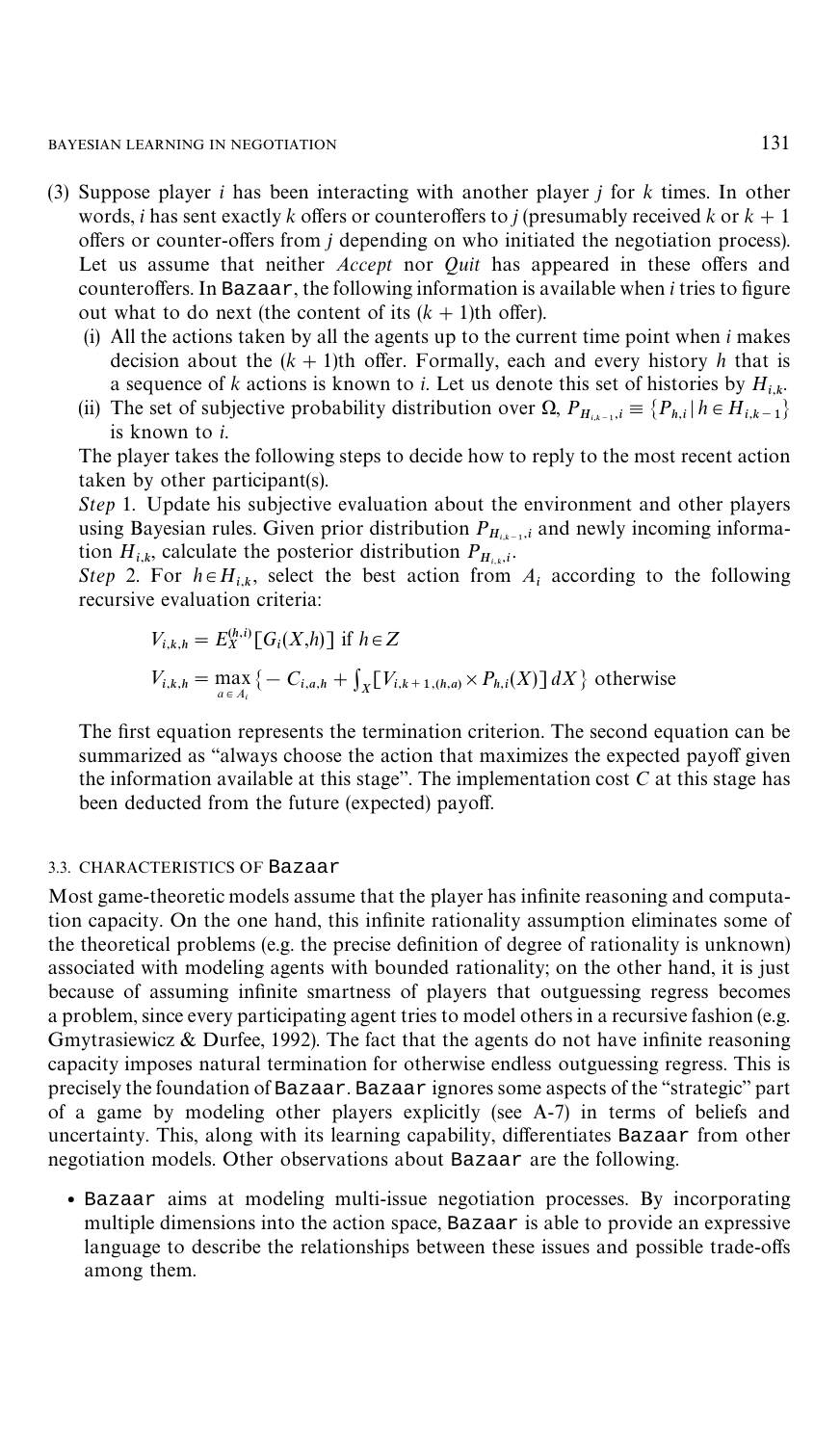- (3) Suppose player *i* has been interacting with another player *j* for *k* times. In other words, *i* has sent exactly *k* offers or counteroffers to *j* (presumably received *k* or  $k + 1$ offers or counter-offers from *j* depending on who initiated the negotiation process). Let us assume that neither *Accept* nor *Quit* has appeared in these offers and counteroffers. In Bazaar, the following information is available when *i* tries to figure out what to do next (the content of its  $(k + 1)$ th offer).
	- (i) All the actions taken by all the agents up to the current time point when *i* makes decision about the  $(k + 1)$ th offer. Formally, each and every history *h* that is a sequence of *k* actions is known to *i*. Let us denote this set of histories by  $H_{i,k}$ .
	- (ii) The set of subjective probability distribution over  $\Omega$ ,  $P_{H_{i,k-1},i} \equiv \{P_{h,i} | h \in H_{i,k-1}\}\$ is known to *i*.

The player takes the following steps to decide how to reply to the most recent action taken by other participant(s).

*Step* 1. Update his subjective evaluation about the environment and other players using Bayesian rules. Given prior distribution  $P_{H_{i,k-1},i}$  and newly incoming information  $H_{i,k}$ , calculate the posterior distribution  $P_{H_{i,k},i}$ .

*Step* 2. For  $h \in H_{i,k}$ , select the best action from  $A_i$  according to the following recursive evaluation criteria:

$$
V_{i,k,h} = E_X^{(h,i)} [G_i(X,h)] \text{ if } h \in Z
$$
  

$$
V_{i,k,h} = \max_{a \in A_i} \{ -C_{i,a,h} + \int_X [V_{i,k+1,(h,a)} \times P_{h,i}(X)] dX \} \text{ otherwise}
$$

The first equation represents the termination criterion. The second equation can be summarized as "always choose the action that maximizes the expected payoff given the information available at this stage''. The implementation cost *C* at this stage has been deducted from the future (expected) payoff.

#### 3.3. CHARACTERISTICS OF Bazaar

[Most game-theoretic models ass](#page-16-0)ume that the player has infinite reasoning and computation capacity. On the one hand, this infinite rationality assumption eliminates some of the theoretical problems (e.g. the precise definition of degree of rationality is unknown) associated with modeling agents with bounded rationality; on the other hand, it is just because of assuming infinite smartness of players that outguessing regress becomes a problem, since every participating agent tries to model others in a recursive fashion (e.g. Gmytrasiewicz  $\&$  Durfee, 1992). The fact that the agents do not have infinite reasoning capacity imposes natural termination for otherwise endless outguessing regress. This is precisely the foundation of Bazaar. Bazaar ignores some aspects of the ''strategic'' part of a game by modeling other players explicitly (see A-7) in terms of beliefs and uncertainty. This, along with its learning capability, differentiates Bazaar from other negotiation models. Other observations about Bazaar are the following.

• Bazaar aims at modeling multi-issue negotiation processes. By incorporating multiple dimensions into the action space, Bazaar is able to provide an expressive language to describe the relationships between these issues and possible trade-offs among them.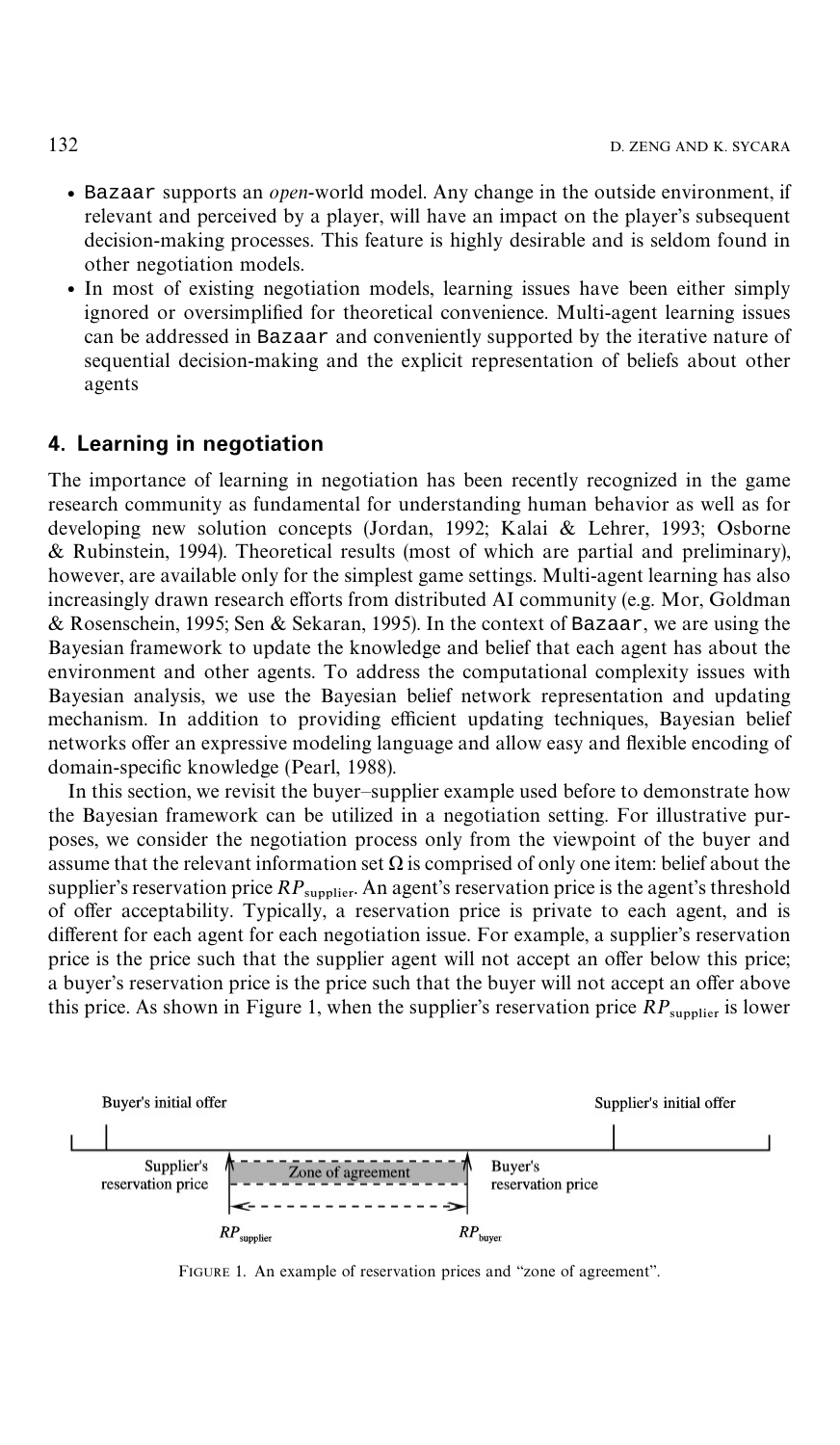- <sup>f</sup> Bazaar supports an *open*-world model. Any change in the outside environment, if relevant and perceived by a player, will have an impact on the player's subsequent decision-making processes. This feature is highly desirable and is seldom found in other negotiation models.
- In most of existing negotiation models, learning issues have been either simply ignored or oversimplified for theoretical convenience. Multi-agent learning issues can be addressed in Bazaar and conveniently supported by the iterative nature of sequential decision-making and the explicit representation of beliefs about other agents

#### **4. Learning in negotiation**

[The importance of learning in negotiation](#page-16-0) has been recently recognized in the game research community as fundamental for understanding human behavior as well as for developing new solution concepts (Jordan, 1992; Kalai & Lehrer, 1993; Osborne & Rubinstein, 1994). Theoretical results (most of which are partial and preliminary), however, are available only for the simplest game settings. Multi-agent learning has also increasingly drawn research efforts from distributed AI community (e.g. Mor, Goldman & Rosenschein, 1995; Sen [& Sekaran, 199](#page-16-0)5). In the context of Bazaar, we are using the Bayesian framework to update the knowledge and belief that each agent has about the environment and other agents. To address the computational complexity issues with Bayesian analysis, we use the Bayesian belief network representation and updating mechanism. In addition to providing efficient updating techniques, Bayesian belief networks offer an expressive modeling language and allow easy and flexible encoding of domain-specific knowledge (Pearl, 1988).

In this section, we revisit the buyer*—*supplier example used before to demonstrate how the Bayesian framework can be utilized in a negotiation setting. For illustrative purposes, we consider the negotiation process only from the viewpoint of the buyer and assume that the relevant information set  $\Omega$  is comprised of only one item: belief about the supplier's reservation price *RP*<sub>supplier</sub>. An agent's reservation price is the agent's threshold of offer acceptability. Typically, a reservation price is private to each agent, and is different for each agent for each negotiation issue. For example, a supplier's reservation price is the price such that the supplier agent will not accept an offer below this price; a buyer's reservation price is the price such that the buyer will not accept an offer above this price. As shown in Figure 1, when the supplier's reservation price  $RP_{\text{super}}$  is lower



FIGURE 1. An example of reservation prices and ''zone of agreement''.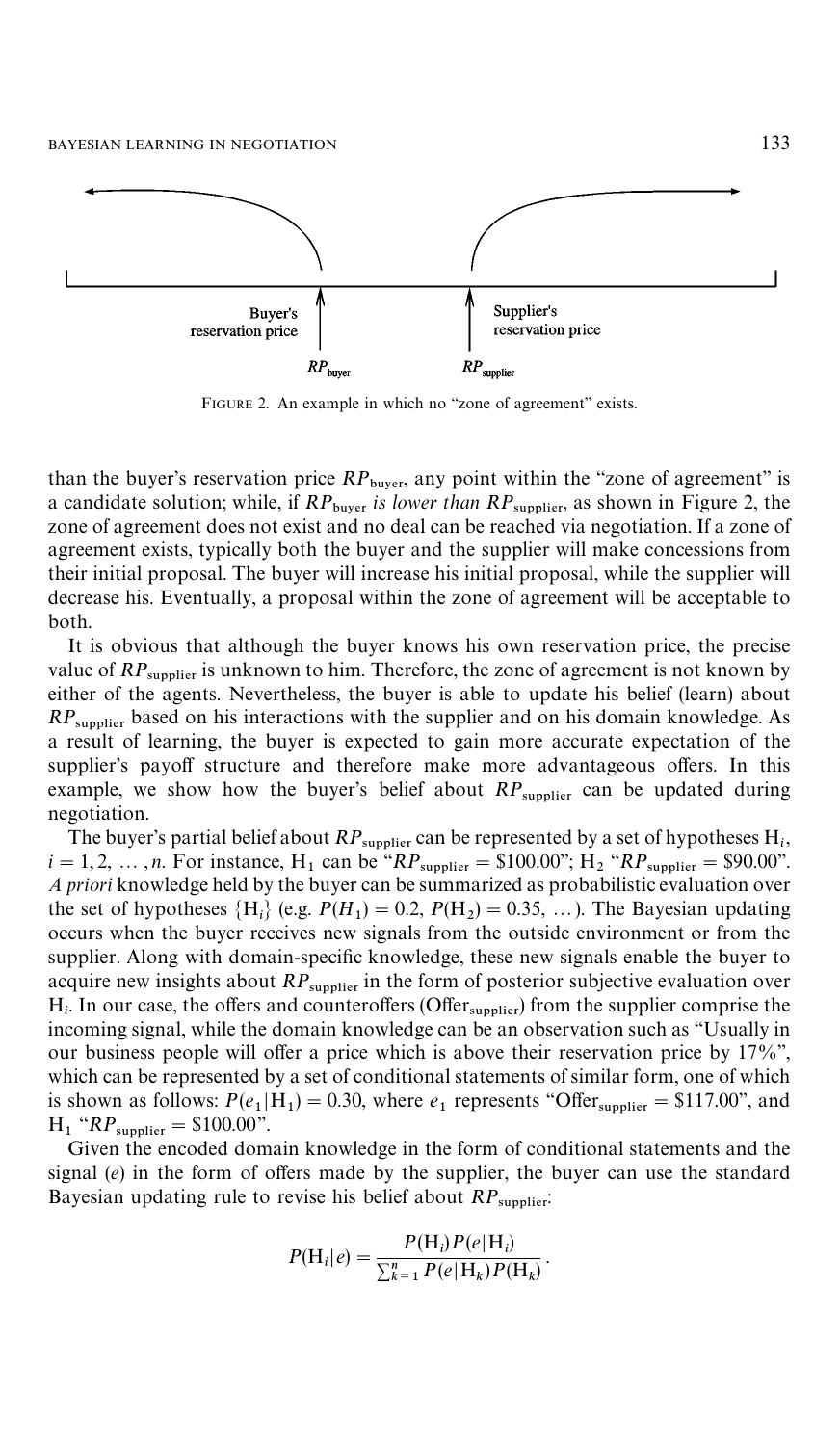

FIGURE 2. An example in which no "zone of agreement" exists.

than the buyer's reservation price  $RP_{\text{lower}}$ , any point within the "zone of agreement" is a candidate solution; while, if  $RP_{\text{buyer}}$  is lower than  $RP_{\text{supplier}}$ , as shown in Figure 2, the zone of agreement does not exist and no deal can be reached via negotiation. If a zone of agreement exists, typically both the buyer and the supplier will make concessions from their initial proposal. The buyer will increase his initial proposal, while the supplier will decrease his. Eventually, a proposal within the zone of agreement will be acceptable to both.

It is obvious that although the buyer knows his own reservation price, the precise value of  $RP_{\text{support}}$  is unknown to him. Therefore, the zone of agreement is not known by either of the agents. Nevertheless, the buyer is able to update his belief (learn) about  $RP_{\text{support}}$  based on his interactions with the supplier and on his domain knowledge. As a result of learning, the buyer is expected to gain more accurate expectation of the supplier's payoff structure and therefore make more advantageous offers. In this example, we show how the buyer's belief about  $RP_{\text{support}}$  can be updated during negotiation.

The buyer's partial belief about  $RP_{\text{supplier}}$  can be represented by a set of hypotheses  $H_i$  $i = 1, 2, ..., n$ . For instance, H<sub>1</sub> can be "*RP*<sub>supplier</sub> = \$100.00"; H<sub>2</sub> "*RP*<sub>supplier</sub> = \$90.00". *A priori* knowledge held by the buyer can be summarized as probabilistic evaluation over the set of hypotheses  ${H_i}$  (e.g.  $P(H_1) = 0.2$ ,  $P(H_2) = 0.35$ , ...). The Bayesian updating occurs when the buyer receives new signals from the outside environment or from the supplier. Along with domain-specific knowledge, these new signals enable the buyer to acquire new insights about *RP*<sub>supplier</sub> in the form of posterior subjective evaluation over H<sub>i</sub>. In our case, the offers and counteroffers (Offer<sub>supplier</sub>) from the supplier comprise the incoming signal, while the domain knowledge can be an observation such as ''Usually in our business people will offer a price which is above their reservation price by 17%'', which can be represented by a set of conditional statements of similar form, one of which is shown as follows:  $P(e_1 | H_1) = 0.30$ , where  $e_1$  represents "Offer<sub>supplier</sub> = \$117.00", and  $H_1$  " $RP_{\text{supplier}} = $100.00$ ".

Given the encoded domain knowledge in the form of conditional statements and the signal (*e*) in the form of offers made by the supplier, the buyer can use the standard Bayesian updating rule to revise his belief about *RP*<sub>supplier</sub>:

$$
P(\mathbf{H}_i|e) = \frac{P(\mathbf{H}_i) P(e|\mathbf{H}_i)}{\sum_{k=1}^{n} P(e|\mathbf{H}_k) P(\mathbf{H}_k)}
$$

.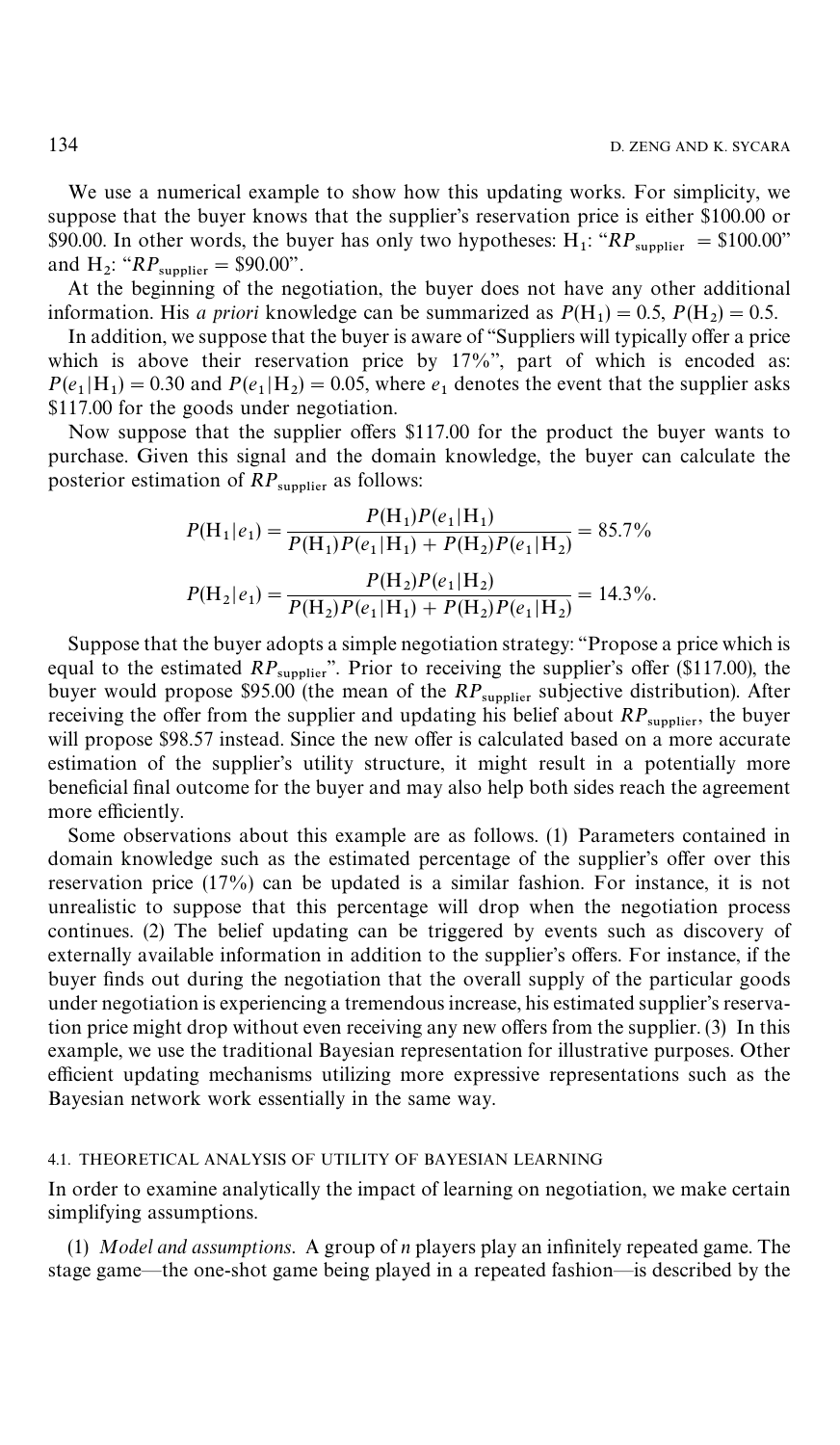We use a numerical example to show how this updating works. For simplicity, we suppose that the buyer knows that the supplier's reservation price is either \$100.00 or \$90.00. In other words, the buyer has only two hypotheses:  $H_1$ : " $RP_{\text{supplier}} = $100.00$ " and  $H_2$ : " $RP_{\text{supplier}} = $90.00$ ".

At the beginning of the negotiation, the buyer does not have any other additional information. His *a priori* knowledge can be summarized as  $P(H_1) = 0.5$ ,  $P(H_2) = 0.5$ .

In addition, we suppose that the buyer is aware of ''Suppliers will typically offer a price which is above their reservation price by 17%", part of which is encoded as:  $P(e_1|H_1) = 0.30$  and  $P(e_1|H_2) = 0.05$ , where  $e_1$  denotes the event that the supplier asks \$117.00 for the goods under negotiation.

Now suppose that the supplier offers \$117.00 for the product the buyer wants to purchase. Given this signal and the domain knowledge, the buyer can calculate the posterior estimation of  $RP_{\text{supplier}}$  as follows:

$$
P(\mathbf{H}_1|e_1) = \frac{P(\mathbf{H}_1)P(e_1|\mathbf{H}_1)}{P(\mathbf{H}_1)P(e_1|\mathbf{H}_1) + P(\mathbf{H}_2)P(e_1|\mathbf{H}_2)} = 85.7\%
$$

$$
P(\mathbf{H}_2|e_1) = \frac{P(\mathbf{H}_2)P(e_1|\mathbf{H}_2)}{P(\mathbf{H}_2)P(e_1|\mathbf{H}_1) + P(\mathbf{H}_2)P(e_1|\mathbf{H}_2)} = 14.3\%
$$

Suppose that the buyer adopts a simple negotiation strategy: ''Propose a price which is equal to the estimated  $RP_{\text{supplier}}$ . Prior to receiving the supplier's offer (\$117.00), the buyer would propose \$95.00 (the mean of the *RP*<sub>supplier</sub> subjective distribution). After receiving the offer from the supplier and updating his belief about  $RP_{\text{sunplier}}$ , the buyer will propose \$98.57 instead. Since the new offer is calculated based on a more accurate estimation of the supplier's utility structure, it might result in a potentially more beneficial final outcome for the buyer and may also help both sides reach the agreement more efficiently.

Some observations about this example are as follows. (1) Parameters contained in domain knowledge such as the estimated percentage of the supplier's offer over this reservation price (17%) can be updated is a similar fashion. For instance, it is not unrealistic to suppose that this percentage will drop when the negotiation process continues. (2) The belief updating can be triggered by events such as discovery of externally available information in addition to the supplier's offers. For instance, if the buyer finds out during the negotiation that the overall supply of the particular goods under negotiation is experiencing a tremendous increase, his estimated supplier's reservation price might drop without even receiving any new offers from the supplier. (3) In this example, we use the traditional Bayesian representation for illustrative purposes. Other efficient updating mechanisms utilizing more expressive representations such as the Bayesian network work essentially in the same way.

#### 4.1. THEORETICAL ANALYSIS OF UTILITY OF BAYESIAN LEARNING

In order to examine analytically the impact of learning on negotiation, we make certain simplifying assumptions.

(1) *Model and assumptions*. A group of *n* players play an infinitely repeated game. The stage game—the one-shot game being played in a repeated fashion—is described by the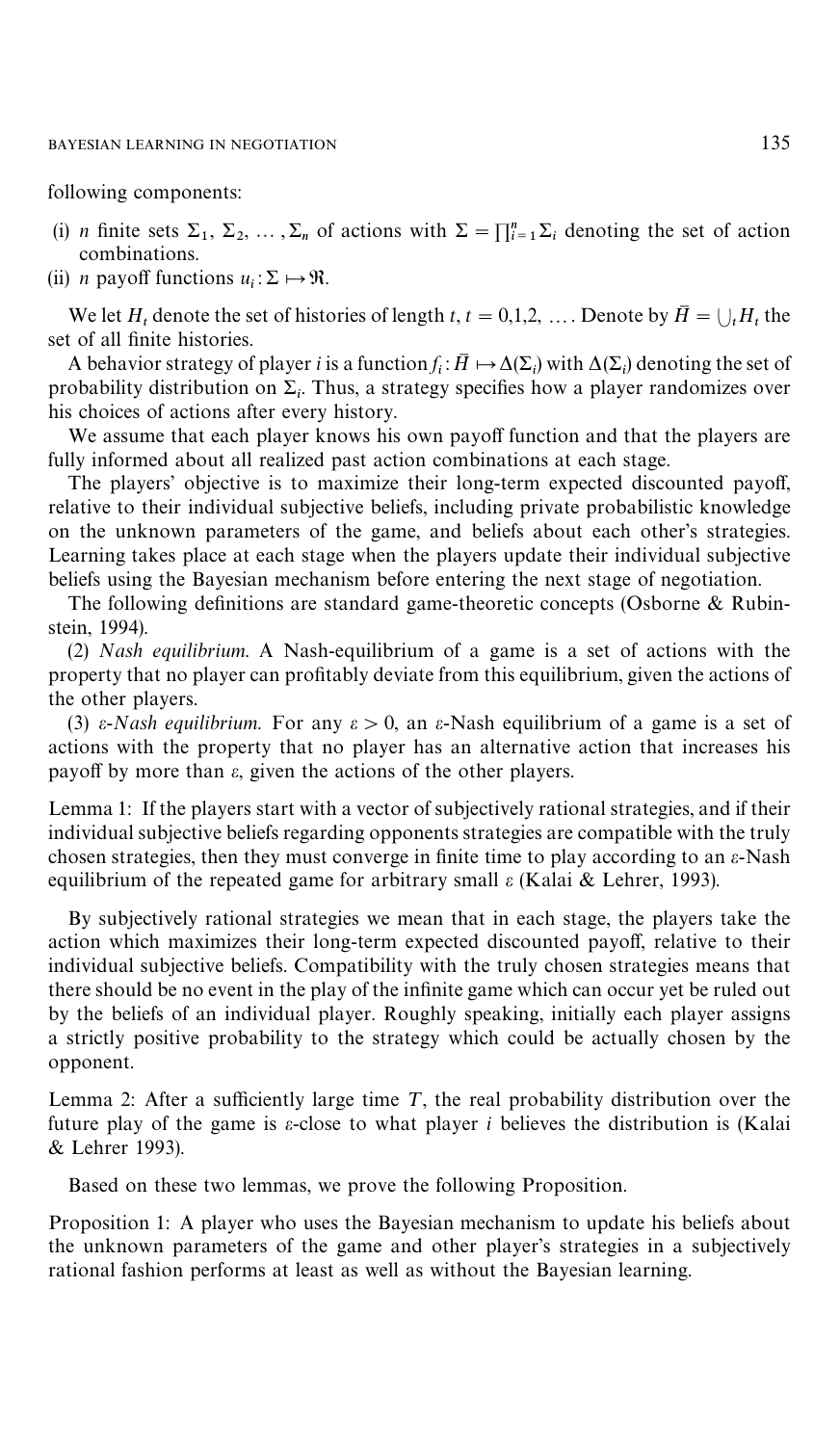following components:

- (i) *n* finite sets  $\Sigma_1, \Sigma_2, \dots, \Sigma_n$  of actions with  $\Sigma = \prod_{i=1}^n \Sigma_i$  denoting the set of action combinations.
- (ii) *n* payoff functions  $u_i: \Sigma \mapsto \Re$ .

We let  $H_t$  denote the set of histories of length *t*,  $t = 0,1,2, \ldots$  Denote by  $\overline{H} = \bigcup_t H_t$  the set of all finite histories.

A behavior strategy of player *i* is a function  $f_i: \overline{H} \mapsto \Delta(\Sigma_i)$  with  $\Delta(\Sigma_i)$  denoting the set of probability distribution on  $\Sigma_i$ . Thus, a strategy specifies how a player randomizes over his choices of actions after every history.

We assume that each player knows his own payoff function and that the players are fully informed about all realized past action combinations at each [stage.](#page-16-0)

[The play](#page-16-0)ers' objective is to maximize their long-term expected discounted payoff, relative to their individual subjective beliefs, including private probabilistic knowledge on the unknown parameters of the game, and beliefs about each other's strategies. Learning takes place at each stage when the players update their individual subjective beliefs using the Bayesian mechanism before entering the next stage of negotiation.

The following definitions are standard game-theoretic concepts (Osborne & Rubinstein, 1994).

(2) *Nash equilibrium*. A Nash-equilibrium of a game is a set of actions with the property that no player can profitably deviate from this equilibrium, given the actions of the other players.

(3)  $\varepsilon$ -*Nash equilibrium*. For any  $\varepsilon > 0$ , an  $\varepsilon$ -Nash equilibrium of a game is a set of actions with the property that no player has an alte[rnative](#page-16-0) [action](#page-16-0) [that](#page-16-0) [incre](#page-16-0)ases his payoff by more than  $\varepsilon$ , given the actions of the other players.

Lemma 1: If the players start with a vector of subjectively rational strategies, and if their individual subjective beliefs regarding opponents strategies are compatible with the truly chosen strategies, then they must converge in finite time to play according to an e-Nash equilibrium of the repeated game for arbitrary small  $\varepsilon$  (Kalai & Lehrer, 1993).

By subjectively rational strategies we mean that in each stage, the players take the action which maximizes their long-term expected discounted payoff, relative to their individual subjective beliefs. Compatibility with the truly chosen strategies means that there should be no event in the play of the infinite game which can occur yet be ru[led out](#page-16-0) [by the beliefs o](#page-16-0)f an individual player. Roughly speaking, initially each player assigns a strictly positive probability to the strategy which could be actually chosen by the opponent.

Lemma 2: After a sufficiently large time  $T$ , the real probability distribution over the future play of the game is  $\varepsilon$ -close to what player *i* believes the distribution is (Kalai & Lehrer 1993).

Based on these two lemmas, we prove the following Proposition.

Proposition 1: A player who uses the Bayesian mechanism to update his beliefs about the unknown parameters of the game and other player's strategies in a subjectively rational fashion performs at least as well as without the Bayesian learning.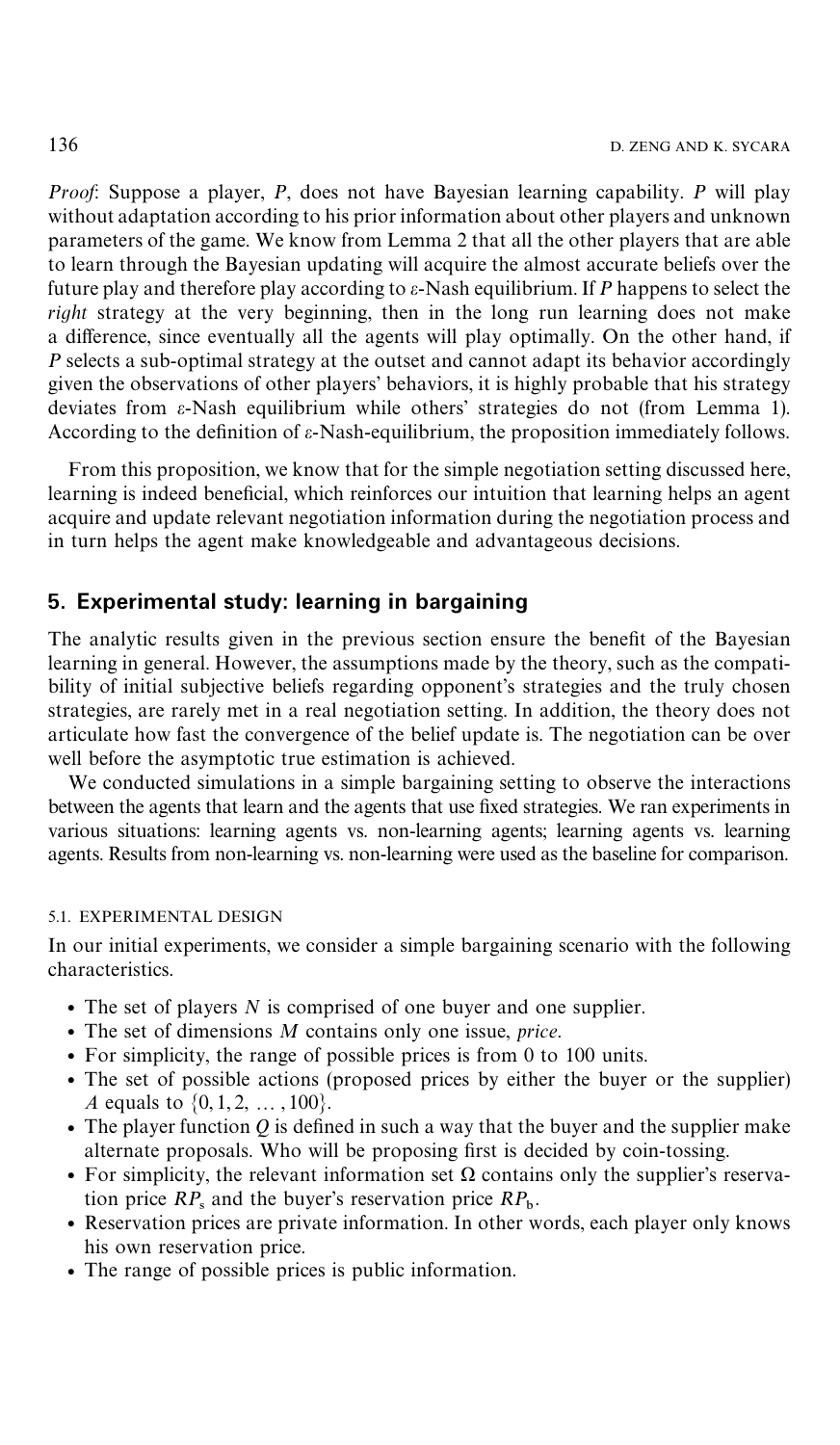*Proof*: Suppose a player, *P*, does not have Bayesian learning capability. *P* will play without adaptation according to his prior information about other players and unknown parameters of the game. We know from Lemma 2 that all the other players that are able to learn through the Bayesian updating will acquire the almost accurate beliefs over the future play and therefore play according to  $\varepsilon$ -Nash equilibrium. If *P* happens to select the *right* strategy at the very beginning, then in the long run learning does not make a difference, since eventually all the agents will play optimally. On the other hand, if *P* selects a sub-optimal strategy at the outset and cannot adapt its behavior accordingly given the observations of other players' behaviors, it is highly probable that his strategy deviates from  $\varepsilon$ -Nash equilibrium while others' strategies do not (from Lemma 1). According to the definition of  $\varepsilon$ -Nash-equilibrium, the proposition immediately follows.

From this proposition, we know that for the simple negotiation setting discussed here, learning is indeed beneficial, which reinforces our intuition that learning helps an agent acquire and update relevant negotiation information during the negotiation process and in turn helps the agent make knowledgeable and advantageous decisions.

## **5. Experimental study: learning in bargaining**

The analytic results given in the previous section ensure the benefit of the Bayesian learning in general. However, the assumptions made by the theory, such as the compatibility of initial subjective beliefs regarding opponent's strategies and the truly chosen strategies, are rarely met in a real negotiation setting. In addition, the theory does not articulate how fast the convergence of the belief update is. The negotiation can be over well before the asymptotic true estimation is achieved.

We conducted simulations in a simple bargaining setting to observe the interactions between the agents that learn and the agents that use fixed strategies. We ran experiments in various situations: learning agents vs. non-learning agents; learning agents vs. learning agents. Results from non-learning vs. non-learning were used as the baseline for comparison.

#### 5.1. EXPERIMENTAL DESIGN

In our initial experiments, we consider a simple bargaining scenario with the following characteristics.

- The set of players *N* is comprised of one buyer and one supplier.
- <sup>f</sup> The set of dimensions *M* contains only one issue, *price*.
- $\bullet$  For simplicity, the range of possible prices is from 0 to 100 units.
- The set of possible actions (proposed prices by either the buyer or the supplier) *A* equals to  $\{0, 1, 2, \ldots, 100\}$ .
- $\bullet$  The player function  $Q$  is defined in such a way that the buyer and the supplier make alternate proposals. Who will be proposing first is decided by coin-tossing.
- For simplicity, the relevant information set  $\Omega$  contains only the supplier's reservation price  $RP_s$  and the buyer's reservation price  $RP_b$ .
- Reservation prices are private information. In other words, each player only knows his own reservation price.
- The range of possible prices is public information.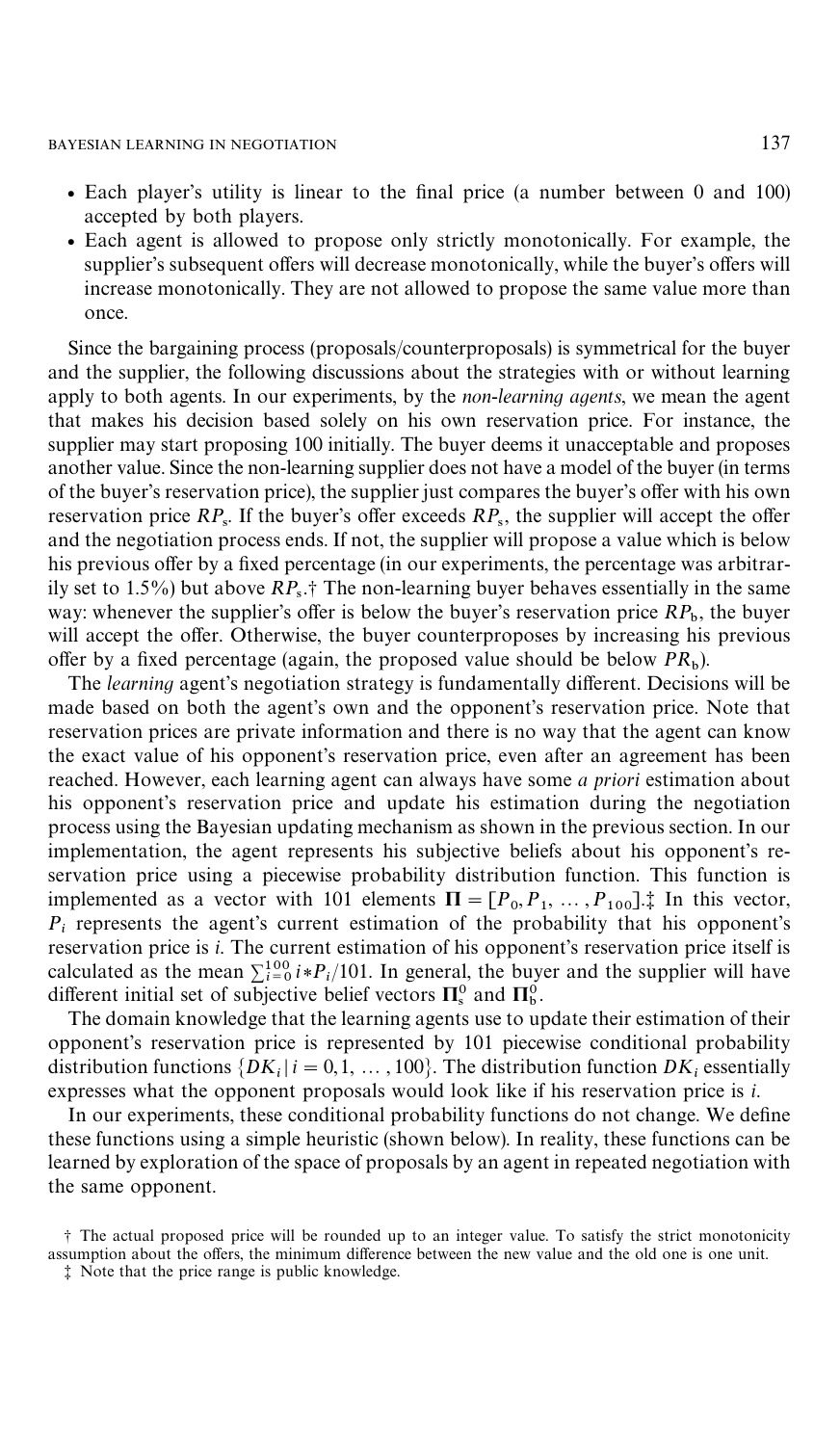- Each player's utility is linear to the final price (a number between 0 and 100) accepted by both players.
- Each agent is allowed to propose only strictly monotonically. For example, the supplier's subsequent offers will decrease monotonically, while the buyer's offers will increase monotonically. They are not allowed to propose the same value more than once.

Since the bargaining process (proposals/counterproposals) is symmetrical for the buyer and the supplier, the following discussions about the strategies with or without learning apply to both agents. In our experiments, by the *non*-*learning agents*, we mean the agent that makes his decision based solely on his own reservation price. For instance, the supplier may start proposing 100 initially. The buyer deems it unacceptable and proposes another value. Since the non-learning supplier does not have a model of the buyer (in terms of the buyer's reservation price), the supplier just compares the buyer's offer with his own reservation price  $RP_s$ . If the buyer's offer exceeds  $RP_s$ , the supplier will accept the offer and the negotiation process ends. If not, the supplier will propose a value which is below his previous offer by a fixed percentage (in our experiments, the percentage was arbitrarily set to 1.5%) but above  $RP_s$ : The non-learning buyer behaves essentially in the same way: whenever the supplier's offer is below the buyer's reservation price  $RP<sub>b</sub>$ , the buyer will accept the offer. Otherwise, the buyer counterproposes by increasing his previous offer by a fixed percentage (again, the proposed value should be below  $PR_b$ ).

The *learning* agent's negotiation strategy is fundamentally different. Decisions will be made based on both the agent's own and the opponent's reservation price. Note that reservation prices are private information and there is no way that the agent can know the exact value of his opponent's reservation price, even after an agreement has been reached. However, each learning agent can always have some *a priori* estimation about his opponent's reservation price and update his estimation during the negotiation process using the Bayesian updating mechanism as shown in the previous section. In our implementation, the agent represents his subjective beliefs about his opponent's reservation price using a piecewise probability distribution function. This function is implemented as a vector with 101 elements  $\Pi = [P_0, P_1, \dots, P_{100}]$ .<sup>†</sup> In this vector,  $P_i$  represents the agent's current estimation of the probability that his opponent's reservation price is *i*. The current estimation of his opponent's reservation price itself is calculated as the mean  $\sum_{i=0}^{100} i * P_i/101$ . In general, the buyer and the supplier will have different initial set of subjective belief vectors  $\Pi_s^0$  and  $\Pi_b^0$ .

The domain knowledge that the learning agents use to update their estimation of their opponent's reservation price is represented by 101 piecewise conditional probability distribution functions  $\{DK_i | i = 0,1,\ldots, 100\}$ . The distribution function  $DK_i$  essentially expresses what the opponent proposals would look like if his reservation price is *i*.

In our experiments, these conditional probability functions do not change. We define these functions using a simple heuristic (shown below). In reality, these functions can be learned by exploration of the space of proposals by an agent in repeated negotiation with the same opponent.

<sup>&</sup>lt;sup>†</sup> The actual proposed price will be rounded up to an integer value. To satisfy the strict monotonicity

assumption about the offers, the minimum difference between the new value and the old one is one unit.

<sup>‡</sup> Note that the price range is public knowledge.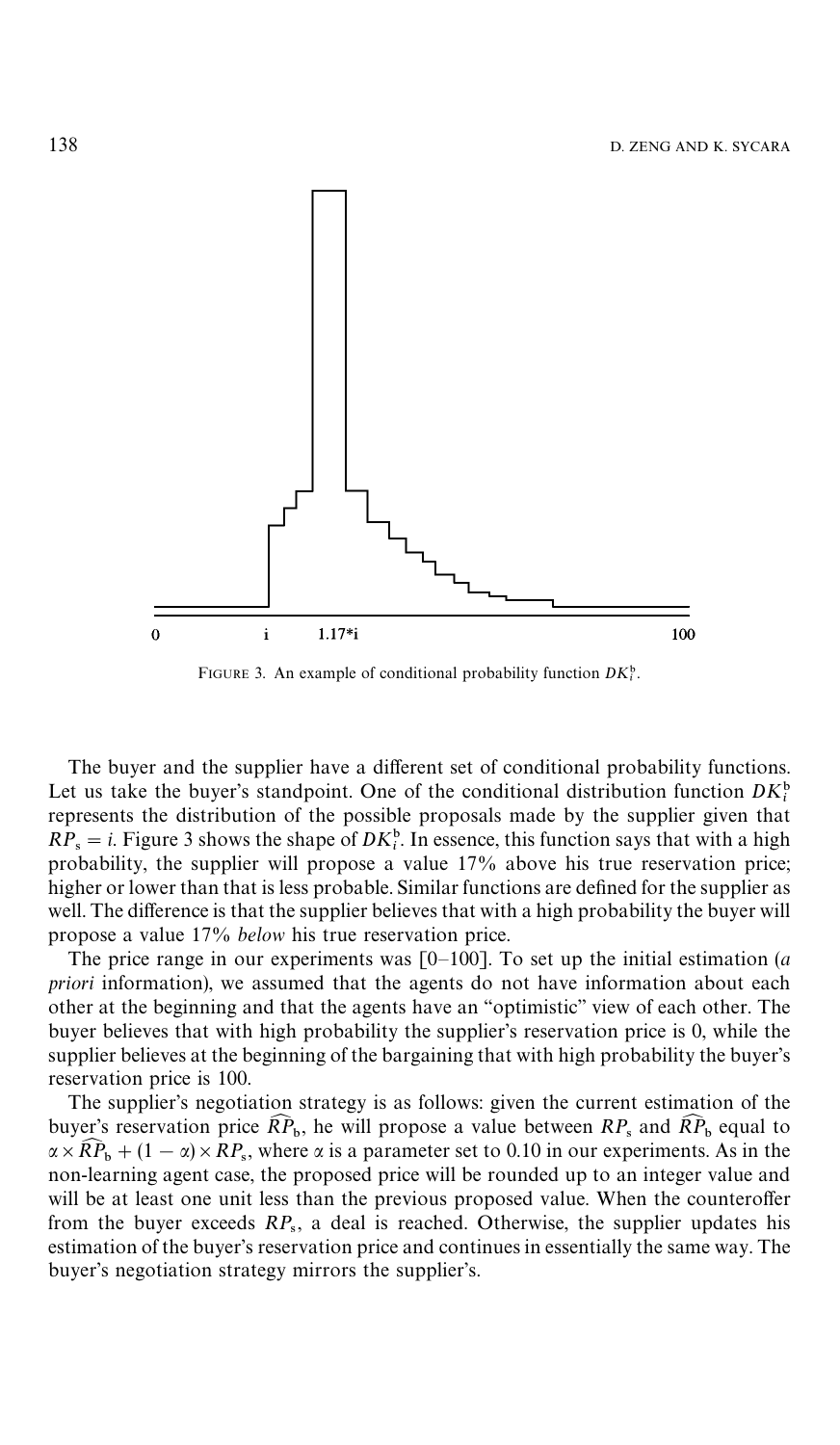#### 138 D. ZENG AND K. SYCARA



FIGURE 3. An example of conditional probability function  $DK_i^b$ .

The buyer and the supplier have a different set of conditional probability functions. Let us take the buyer's standpoint. One of the conditional distribution function  $DK_i^b$  represents the distribution of the possible proposals made by the supplier given that  $RP_s = i$ . Figure 3 shows the shape of  $DK_i^b$ . In essence, this function says that with a high probability, the supplier will propose a value 17% above his true reservation price; higher or lower than that is less probable. Similar functions are defined for the supplier as well. The difference is that the supplier believes that with a high probability the buyer will propose a value 17% *below* his true reservation price.

The price range in our experiments was [0*—*100]. To set up the initial estimation (*a priori* information), we assumed that the agents do not have information about each other at the beginning and that the agents have an ''optimistic'' view of each other. The buyer believes that with high probability the supplier's reservation price is 0, while the supplier believes at the beginning of the bargaining that with high probability the buyer's reservation price is 100.

The supplier's negotiation strategy is as follows: given the current estimation of the buyer's reservation price  $\hat{RP}_b$ , he will propose a value between  $RP_s$  and  $\hat{RP}_b$  equal to  $\alpha \times \widehat{RP}_{b} + (1 - \alpha) \times RP_{s}$ , where  $\alpha$  is a parameter set to 0.10 in our experiments. As in the non-learning agent case, the proposed price will be rounded up to an integer value and will be at least one unit less than the previous proposed value. When the counteroffer from the buyer exceeds  $RP_s$ , a deal is reached. Otherwise, the supplier updates his estimation of the buyer's reservation price and continues in essentially the same way. The buyer's negotiation strategy mirrors the supplier's.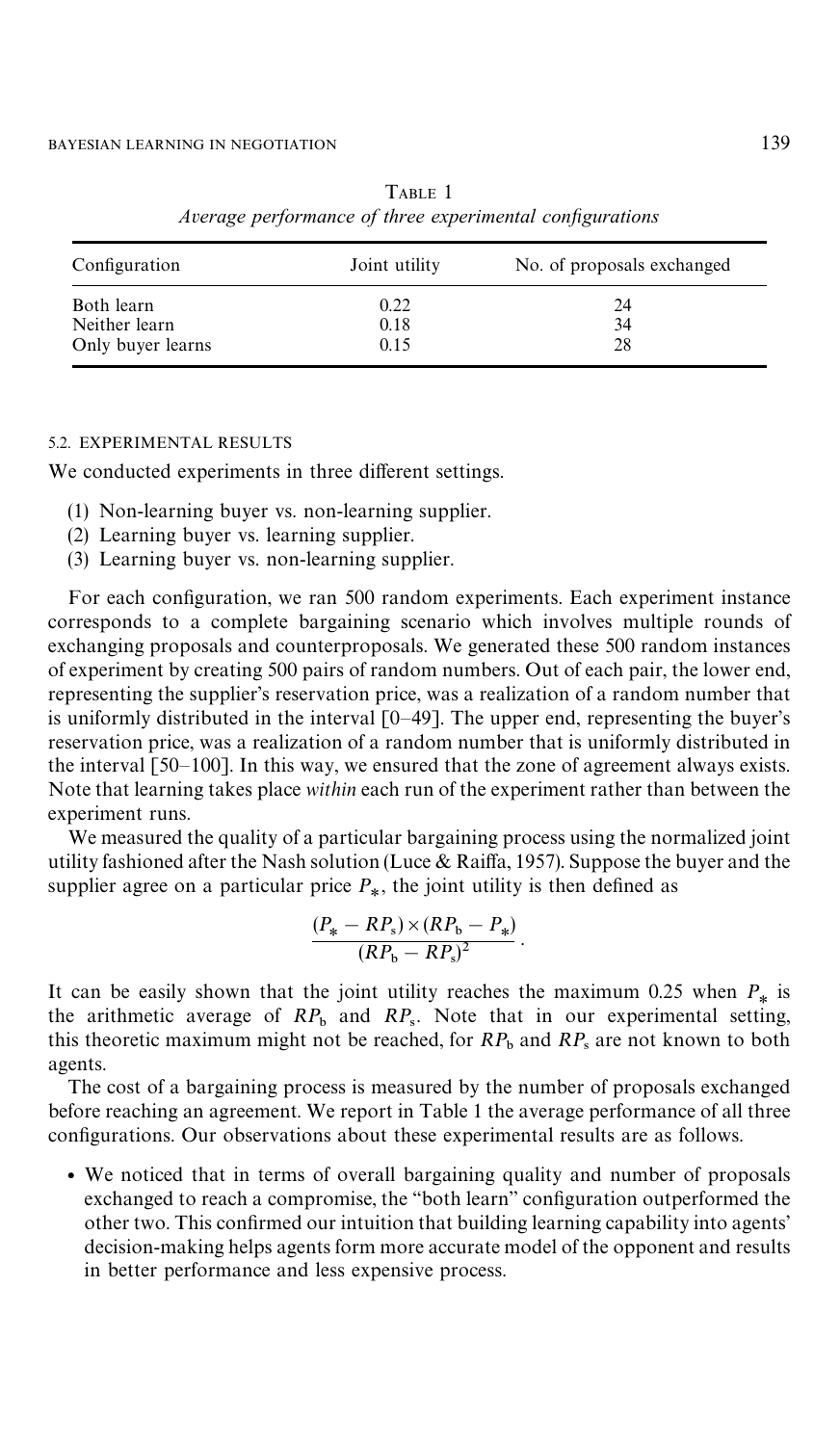TABLE 1 *Average performance of three experimental configurations*

| Configuration     | Joint utility | No. of proposals exchanged |
|-------------------|---------------|----------------------------|
| Both learn        | 0.22          | 24                         |
| Neither learn     | 0.18          | 34                         |
| Only buyer learns | 0.15          | 28                         |

#### 5.2. EXPERIMENTAL RESULTS

We conducted experiments in three different settings.

- (1) Non-learning buyer vs. non-learning supplier.
- (2) Learning buyer vs. learning supplier.
- (3) Learning buyer vs. non-learning supplier.

For each configuration, we ran 500 random experiments. Each experiment instance corresponds to a complete bargaining scenario which involves multiple rounds of exchanging proposals and counterproposals. We generated these 500 random instances of experiment by creating 500 pairs of random numbers. Out of each pair, the lower end, representing the supplier's reservation price, was a realization of a random number that is uniformly distributed in the interval [0*—*[49\]. The upper en](#page-16-0)d, representing the buyer's reservation price, was a realization of a random number that is uniformly distributed in the interval [50*—*100]. In this way, we ensured that the zone of agreement always exists. Note that learning takes place *within* each run of the experiment rather than between the experiment runs.

We measured the quality of a particular bargaining process using the normalized joint utility fashioned after the Nash solution (Luce  $&$  Raiffa, 1957). Suppose the buyer and the supplier agree on a particular price  $P_{*}$ , the joint utility is then defined as

$$
\frac{(P_* - RP_*) \times (RP_b - P_*)}{(RP_b - RP_s)^2}.
$$

It can be easily shown that the joint utility reaches the maximum 0.25 when  $P_*$  is the arithmetic average of  $RP<sub>b</sub>$  and  $RP<sub>s</sub>$ . Note that in our experimental setting, this theoretic maximum might not be reached, for  $RP<sub>b</sub>$  and  $RP<sub>s</sub>$  are not known to both agents.

The cost of a bargaining process is measured by the number of proposals exchanged before reaching an agreement. We report in Table 1 the average performance of all three configurations. Our observations about these experimental results are as follows.

• We noticed that in terms of overall bargaining quality and number of proposals exchanged to reach a compromise, the ''both learn'' configuration outperformed the other two. This confirmed our intuition that building learning capability into agents' decision-making helps agents form more accurate model of the opponent and results in better performance and less expensive process.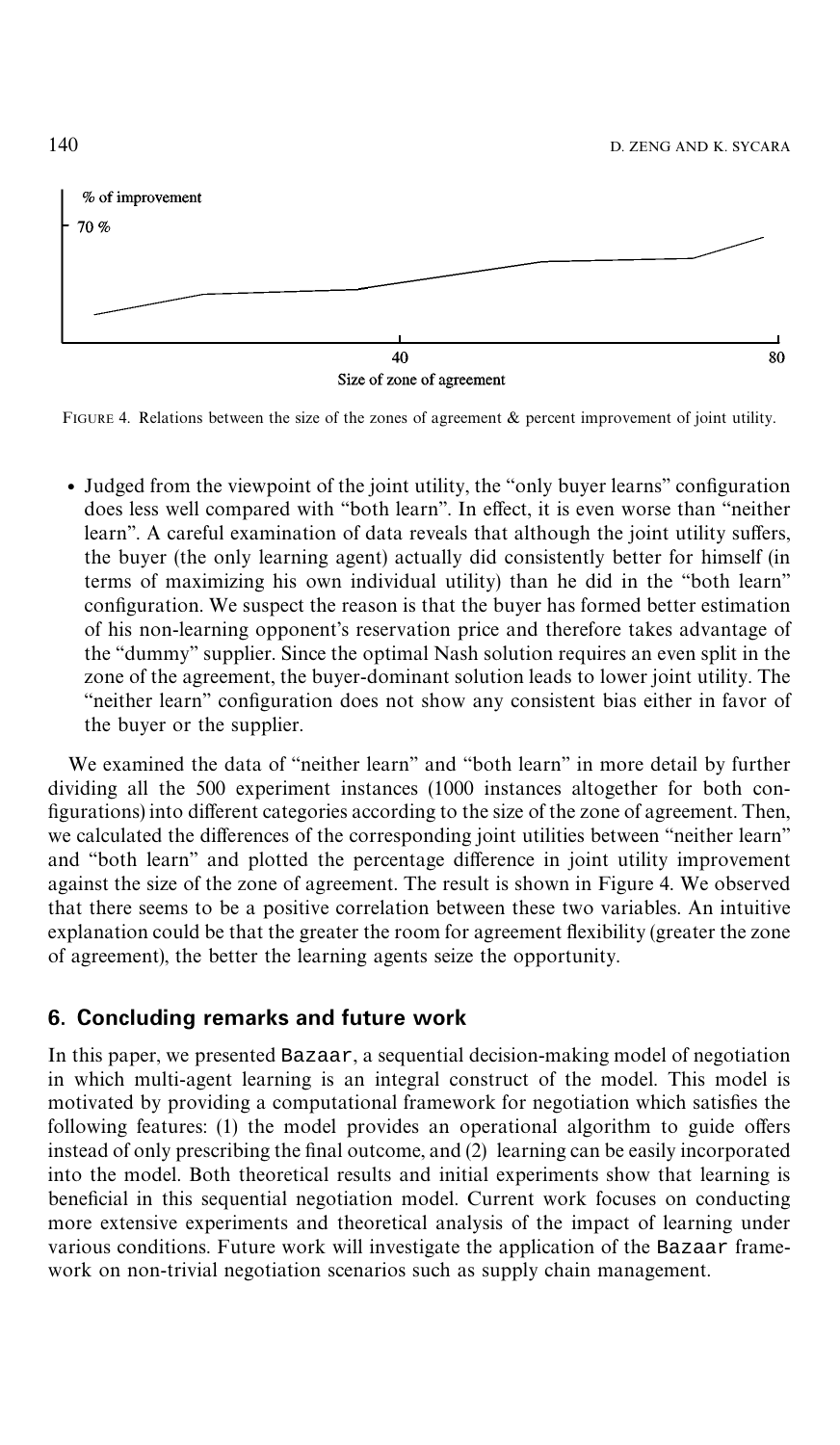140 D. ZENG AND K. SYCARA



FIGURE 4. Relations between the size of the zones of agreement  $\&$  percent improvement of joint utility.

• Judged from the viewpoint of the joint utility, the "only buyer learns" configuration does less well compared with ''both learn''. In effect, it is even worse than ''neither learn''. A careful examination of data reveals that although the joint utility suffers, the buyer (the only learning agent) actually did consistently better for himself (in terms of maximizing his own individual utility) than he did in the ''both learn'' configuration. We suspect the reason is that the buyer has formed better estimation of his non-learning opponent's reservation price and therefore takes advantage of the ''dummy'' supplier. Since the optimal Nash solution requires an even split in the zone of the agreement, the buyer-dominant solution leads to lower joint utility. The ''neither learn'' configuration does not show any consistent bias either in favor of the buyer or the supplier.

We examined the data of "neither learn" and "both learn" in more detail by further dividing all the 500 experiment instances (1000 instances altogether for both configurations) into different categories according to the size of the zone of agreement. Then, we calculated the differences of the corresponding joint utilities between ''neither learn'' and ''both learn'' and plotted the percentage difference in joint utility improvement against the size of the zone of agreement. The result is shown in Figure 4. We observed that there seems to be a positive correlation between these two variables. An intuitive explanation could be that the greater the room for agreement flexibility (greater the zone of agreement), the better the learning agents seize the opportunity.

# **6. Concluding remarks and future work**

In this paper, we presented Bazaar, a sequential decision-making model of negotiation in which multi-agent learning is an integral construct of the model. This model is motivated by providing a computational framework for negotiation which satisfies the following features: (1) the model provides an operational algorithm to guide offers instead of only prescribing the final outcome, and (2) learning can be easily incorporated into the model. Both theoretical results and initial experiments show that learning is beneficial in this sequential negotiation model. Current work focuses on conducting more extensive experiments and theoretical analysis of the impact of learning under various conditions. Future work will investigate the application of the Bazaar framework on non-trivial negotiation scenarios such as supply chain management.